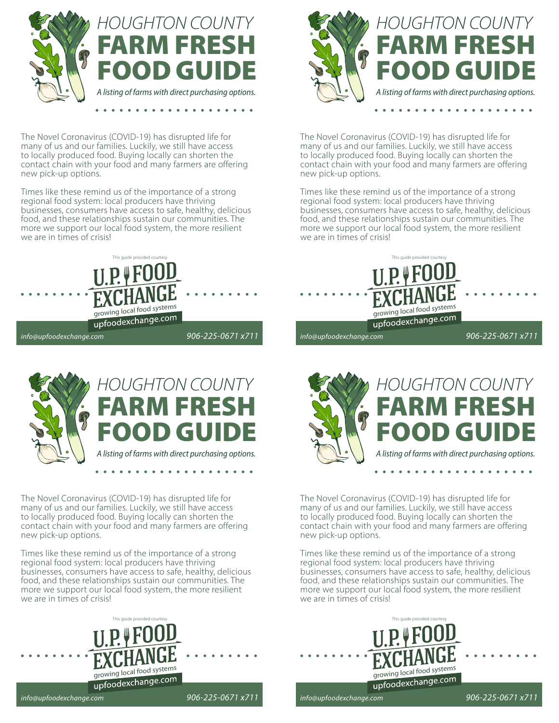

The Novel Coronavirus (COVID-19) has disrupted life for many of us and our families. Luckily, we still have access to locally produced food. Buying locally can shorten the contact chain with your food and many farmers are offering new pick-up options.

Times like these remind us of the importance of a strong regional food system: local producers have thriving businesses, consumers have access to safe, healthy, delicious food, and these relationships sustain our communities. The more we support our local food system, the more resilient we are in times of crisis!





The Novel Coronavirus (COVID-19) has disrupted life for many of us and our families. Luckily, we still have access to locally produced food. Buying locally can shorten the contact chain with your food and many farmers are offering new pick-up options.

Times like these remind us of the importance of a strong regional food system: local producers have thriving businesses, consumers have access to safe, healthy, delicious food, and these relationships sustain our communities. The more we support our local food system, the more resilient we are in times of crisis!





The Novel Coronavirus (COVID-19) has disrupted life for many of us and our families. Luckily, we still have access to locally produced food. Buying locally can shorten the contact chain with your food and many farmers are offering new pick-up options.

Times like these remind us of the importance of a strong regional food system: local producers have thriving businesses, consumers have access to safe, healthy, delicious food, and these relationships sustain our communities. The more we support our local food system, the more resilient we are in times of crisis!





The Novel Coronavirus (COVID-19) has disrupted life for many of us and our families. Luckily, we still have access to locally produced food. Buying locally can shorten the contact chain with your food and many farmers are offering new pick-up options.

Times like these remind us of the importance of a strong regional food system: local producers have thriving businesses, consumers have access to safe, healthy, delicious food, and these relationships sustain our communities. The more we support our local food system, the more resilient we are in times of crisis!



*info@upfoodexchange.com*

*906-225-0671 x711*